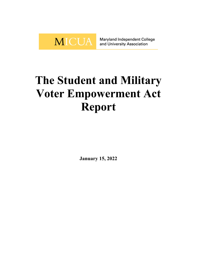

Maryland Independent College and University Association

## **The Student and Military Voter Empowerment Act Report**

**January 15, 2022**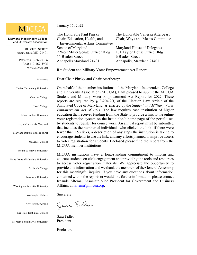## **MICUA**

Maryland Independent College and University Association

> 140 SOUTH STREET ANNAPOLIS, MD 21401

PHONE: 410-269-0306 FAX: 410-269-5905 [www.micua.org](http://www.micua.org/)

## **MEMBERS**

Capitol Technology University

Goucher College

Hood College

Johns Hopkins University

Loyola University Maryland

Maryland Institute College of Art

McDaniel College

Mount St. Mary's University

Notre Dame of Maryland University

St. John's College

Stevenson University

Washington Adventist University

Washington College

AFFILIATE MEMBERS

Ner Israel Rabbinical College

St. Mary's Seminary & University

January 15, 2022

The Honorable Paul Pinsky The Honorable Vanessa Atterbeary Chair, Education, Health, and Chair, Ways and Means Committee Environmental Affairs Committee Senate of Maryland Maryland House of Delegates 2 West Miller Senate Officer Bldg 131 Taylor House Office Bldg 11 Bladen Street 6 Bladen Street Annapolis Maryland 21401 Annapolis, Maryland 21401

Re: Student and Military Voter Empowerment Act Report

Dear Chair Pinsky and Chair Atterbeary:

On behalf of the member institutions of the Maryland Independent College and University Association (MICUA), I am pleased to submit the MICUA Student and Military Voter Empowerment Act Report for 2022. These reports are required by  $\S$  3-204.2(f) of the Election Law Article of the Annotated Code of Maryland, as enacted by the *Student and Military Voter Empowerment Act of 2021*. The law requires each institution of higher education that receives funding from the State to provide a link to the online voter registration system on the institution's home page of the portal used by students to register for course work. An annual report must be submitted that includes the number of individuals who clicked the link; if there were fewer than 15 clicks, a description of any steps the institution is taking to encourage students to use the link; and any efforts planned to improve access to voter registration for students. Enclosed please find the report from the MICUA member institutions.

MICUA institutions have a long-standing commitment to inform and educate students on civic engagement and providing the tools and resources to access voter registration materials. We appreciate the opportunity to provide this information and we thank the members of the General Assembly for this meaningful inquiry. If you have any questions about information contained within the reports or would like further information, please contact Irnande Altema, Associate Vice President for Government and Business Affairs, at [ialtema@micua.org.](mailto:ialtema@micua.org)

Sincerely,

Jara Fidla

Sara Fidler President

Enclosure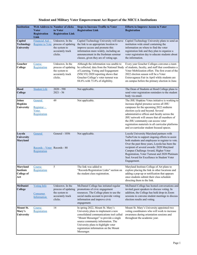## **Student and Military Voter Empowerment Act Report of the MICUA Institutions**

| <b>Institution</b>                                       | <b>Voter</b><br><b>Registration</b><br>Link              | <b>Web Address to Number of clicks</b><br>to Voter<br><b>Registration Link</b>         | <b>Steps to Increase Traffic to Voter</b><br><b>Registration Link</b>                                                                                                                                                                                                                          | <b>Efforts to Improve Access to Voter</b><br><b>Registration</b>                                                                                                                                                                                                                                                                                                                                                    |
|----------------------------------------------------------|----------------------------------------------------------|----------------------------------------------------------------------------------------|------------------------------------------------------------------------------------------------------------------------------------------------------------------------------------------------------------------------------------------------------------------------------------------------|---------------------------------------------------------------------------------------------------------------------------------------------------------------------------------------------------------------------------------------------------------------------------------------------------------------------------------------------------------------------------------------------------------------------|
| Capitol<br><b>Technology</b><br>University               | Financial Aid -<br><b>Register to Vote</b>               | Unknown. In the<br>process of updating<br>the system to<br>accurately track<br>clicks. | Capitol Technology University will move<br>the link to an appropriate location to<br>improve access and promote this<br>information more widely, including an<br>announcement in the freshman seminar<br>classes, given they are of voting age.                                                | Capitol Technology University plans to send an<br>institution wide email containing the<br>information on where to find the voter<br>registration link and they plan to organize a<br>voter registration day to educate students about<br>the information.                                                                                                                                                          |
| Goucher<br>College                                       | Course<br>Registration                                   | Unknown. In the<br>process of updating<br>the system to<br>accurately track<br>clicks. | Although the information was unable to<br>be collected, data from the National Study<br>of Learning, Voting and Engagement<br>(NSLVE) 2020 reporting shows that<br>Goucher College's voter turnout was<br>84.6% with 73.4% of eligibility.                                                     | Every year Goucher Colleges convenes a team<br>of students, faculty, and staff that coordinates a<br>Voter Mobilization effort. The first event of the<br>2022 election season will be a Voter<br>Extravaganza Fair in April while students are<br>on campus before the primary election in June.                                                                                                                   |
| Hood<br>College                                          | <b>Student Life</b>                                      | $2020 - 590$<br>$2021 - 56$                                                            | Not applicable.                                                                                                                                                                                                                                                                                | The Dean of Students at Hood College plans to<br>send voter registration reminders to the student<br>body via email.                                                                                                                                                                                                                                                                                                |
| Johns<br><b>Hopkins</b><br>University                    | General<br>$Regular -$<br>Voter<br>Registration          | 49                                                                                     | Not applicable.                                                                                                                                                                                                                                                                                | The JHU Hopkins Votes initiative is working to<br>increase digital presence across all JHU<br>campuses for the upcoming 2022 midterm<br>election cycle and beyond. Several<br>administrative offices and faculty across the<br>JHU network will ensure that all members of<br>the JHU community can access voter<br>registration materials in all curricular platforms<br>and co-curricular student focused spaces. |
| Loyola<br>University<br>Maryland                         | General<br>$Reords - Voter$ Records - 88<br>Registration | General - 1056                                                                         | Not applicable.                                                                                                                                                                                                                                                                                | Loyola University Maryland partners with<br>TurboVote to support ongoing efforts to assist<br>both students and employees to register to vote.<br>Over the past three years, Loyola has been the<br>recipient of several awards: 2020 Maryland<br>Campus Challenge Award, Higher Voter<br>Registration, Voter Turnout and 2020 Platinum<br>Seal Award for Excellence in Student Voter<br>Engagement.                |
| <b>Maryland</b><br>Institute<br><b>College of</b><br>Art | Course<br>Registration                                   | 5                                                                                      | The link was added to<br>"Records/Registration Links" section on<br>the student class registration.                                                                                                                                                                                            | Maryland Institute College of Art plans to<br>explore placing the link in other locations and<br>adding a pop-up or notification that appears<br>once students submit their class schedule<br>directing them to the link.                                                                                                                                                                                           |
| <b>McDaniel</b><br>College                               | <b>Voting Info</b><br>Consumer<br>Information            | Unknown. In the<br>process of updating<br>the system to<br>accurately track<br>clicks. | McDaniel College has initiated regular<br>promotions of civic engagement<br>resources. The College plans to use the<br>social media account to provide voting<br>information and improve civic<br>engagement.                                                                                  | McDaniel College has hosted conversations and<br>invited guest speakers to discuss voting. In<br>addition, the College has held drop-in Zoom<br>sessions to convene student meetings to discuss<br>election results and voting.                                                                                                                                                                                     |
| <b>Mount St.</b><br>Mary's<br>University                 | Course<br>Registration                                   | 14                                                                                     | In spring 2022, Mount St. Mary's<br>University plans to implement a new<br>consolidated communications tool called<br>"Mount Messenger" to provide a single<br>source community information. The<br>University plans to highlight voter<br>registration information on the Mount<br>Messenger. | Mount St. Mary's University appointed two<br>voting coordinators who will work to increase<br>awareness during orientation sessions and<br>throughout the academic year.                                                                                                                                                                                                                                            |